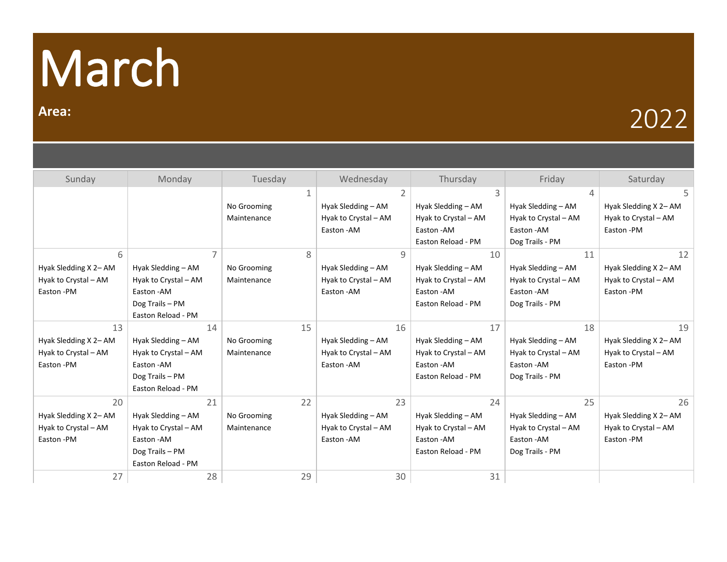## March

## **Area:** 2022

| Sunday                | Monday               | Tuesday     | Wednesday            | Thursday             | Friday               | Saturday              |
|-----------------------|----------------------|-------------|----------------------|----------------------|----------------------|-----------------------|
|                       |                      | 1           | $\overline{2}$       | 3                    | 4                    | 5                     |
|                       |                      | No Grooming | Hyak Sledding - AM   | Hyak Sledding - AM   | Hyak Sledding - AM   | Hyak Sledding X 2- AM |
|                       |                      | Maintenance | Hyak to Crystal - AM | Hyak to Crystal - AM | Hyak to Crystal - AM | Hyak to Crystal - AM  |
|                       |                      |             | Easton - AM          | Easton - AM          | Easton - AM          | Easton-PM             |
|                       |                      |             |                      | Easton Reload - PM   | Dog Trails - PM      |                       |
| 6                     | $\overline{7}$       | 8           | 9                    | 10                   | 11                   | 12                    |
| Hyak Sledding X 2- AM | Hyak Sledding - AM   | No Grooming | Hyak Sledding - AM   | Hyak Sledding - AM   | Hyak Sledding - AM   | Hyak Sledding X 2- AM |
| Hyak to Crystal - AM  | Hyak to Crystal - AM | Maintenance | Hyak to Crystal - AM | Hyak to Crystal - AM | Hyak to Crystal - AM | Hyak to Crystal - AM  |
| Easton-PM             | Easton - AM          |             | Easton - AM          | Easton - AM          | Easton - AM          | Easton - PM           |
|                       | Dog Trails - PM      |             |                      | Easton Reload - PM   | Dog Trails - PM      |                       |
|                       | Easton Reload - PM   |             |                      |                      |                      |                       |
| 13                    | 14                   | 15          | 16                   | 17                   | 18                   | 19                    |
| Hyak Sledding X 2- AM | Hyak Sledding - AM   | No Grooming | Hyak Sledding - AM   | Hyak Sledding - AM   | Hyak Sledding - AM   | Hyak Sledding X 2- AM |
| Hyak to Crystal - AM  | Hyak to Crystal - AM | Maintenance | Hyak to Crystal - AM | Hyak to Crystal - AM | Hyak to Crystal - AM | Hyak to Crystal - AM  |
| Easton-PM             | Easton - AM          |             | Easton - AM          | Easton - AM          | Easton-AM            | Easton-PM             |
|                       | Dog Trails - PM      |             |                      | Easton Reload - PM   | Dog Trails - PM      |                       |
|                       | Easton Reload - PM   |             |                      |                      |                      |                       |
| 20                    | 21                   | 22          | 23                   | 24                   | 25                   | 26                    |
| Hyak Sledding X 2- AM | Hyak Sledding - AM   | No Grooming | Hyak Sledding - AM   | Hyak Sledding - AM   | Hyak Sledding - AM   | Hyak Sledding X 2- AM |
| Hyak to Crystal - AM  | Hyak to Crystal - AM | Maintenance | Hyak to Crystal - AM | Hyak to Crystal - AM | Hyak to Crystal - AM | Hyak to Crystal - AM  |
| Easton-PM             | Easton-AM            |             | Easton - AM          | Easton - AM          | Easton - AM          | Easton-PM             |
|                       | Dog Trails - PM      |             |                      | Easton Reload - PM   | Dog Trails - PM      |                       |
|                       | Easton Reload - PM   |             |                      |                      |                      |                       |
| 27                    | 28                   | 29          | 30                   | 31                   |                      |                       |